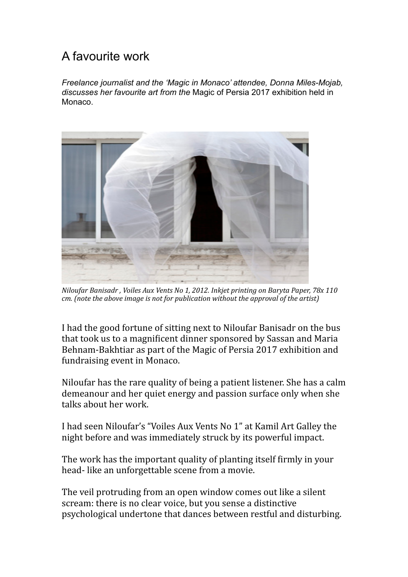## A favourite work

*Freelance journalist and the 'Magic in Monaco' attendee, Donna Miles-Mojab, discusses her favourite art from the* Magic of Persia 2017 exhibition held in Monaco.



*Niloufar Banisadr, Voiles Aux Vents No 1, 2012. Inkiet printing on Baryta Paper, 78x 110 cm.* (note the above image is not for publication without the approval of the artist)

I had the good fortune of sitting next to Niloufar Banisadr on the bus that took us to a magnificent dinner sponsored by Sassan and Maria Behnam-Bakhtiar as part of the Magic of Persia 2017 exhibition and fundraising event in Monaco.

Niloufar has the rare quality of being a patient listener. She has a calm demeanour and her quiet energy and passion surface only when she talks about her work.

I had seen Niloufar's "Voiles Aux Vents No 1" at Kamil Art Galley the night before and was immediately struck by its powerful impact.

The work has the important quality of planting itself firmly in your head- like an unforgettable scene from a movie.

The veil protruding from an open window comes out like a silent scream: there is no clear voice, but you sense a distinctive psychological undertone that dances between restful and disturbing.